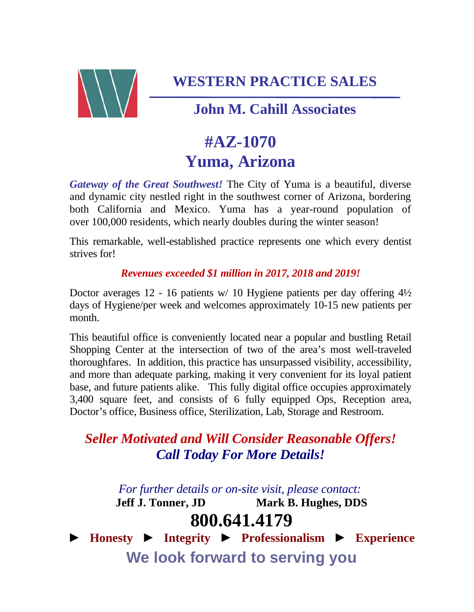

**WESTERN PRACTICE SALES**

### **John M. Cahill Associates**

# **#AZ-1070 Yuma, Arizona**

*Gateway of the Great Southwest!* The City of Yuma is a beautiful, diverse and dynamic city nestled right in the southwest corner of Arizona, bordering both California and Mexico. Yuma has a year-round population of over 100,000 residents, which nearly doubles during the winter season!

This remarkable, well-established practice represents one which every dentist strives for!

### *Revenues exceeded \$1 million in 2017, 2018 and 2019!*

Doctor averages 12 - 16 patients w/ 10 Hygiene patients per day offering  $4\frac{1}{2}$ days of Hygiene/per week and welcomes approximately 10-15 new patients per month.

This beautiful office is conveniently located near a popular and bustling Retail Shopping Center at the intersection of two of the area's most well-traveled thoroughfares. In addition, this practice has unsurpassed visibility, accessibility, and more than adequate parking, making it very convenient for its loyal patient base, and future patients alike. This fully digital office occupies approximately 3,400 square feet, and consists of 6 fully equipped Ops, Reception area, Doctor's office, Business office, Sterilization, Lab, Storage and Restroom.

### *Seller Motivated and Will Consider Reasonable Offers! Call Today For More Details!*

*For further details or on-site visit, please contact:*

**Jeff J. Tonner, JD Mark B. Hughes, DDS**

## **800.641.4179**

► **Honesty** ► **Integrity** ► **Professionalism** ► **Experience We look forward to serving you**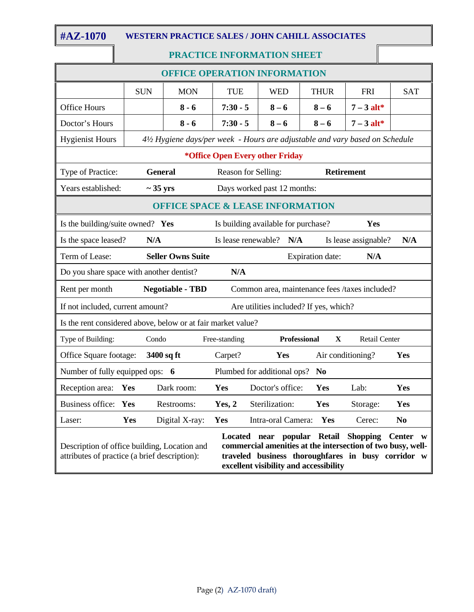$\overline{\phantom{a}}$ 

#### **#AZ-1070 WESTERN PRACTICE SALES / JOHN CAHILL ASSOCIATES**

#### **PRACTICE INFORMATION SHEET**

| <b>OFFICE OPERATION INFORMATION</b>                                                                                                                                                                                                                                                                                                |                                                                                          |                |                                                                              |                             |                     |              |                      |                |
|------------------------------------------------------------------------------------------------------------------------------------------------------------------------------------------------------------------------------------------------------------------------------------------------------------------------------------|------------------------------------------------------------------------------------------|----------------|------------------------------------------------------------------------------|-----------------------------|---------------------|--------------|----------------------|----------------|
|                                                                                                                                                                                                                                                                                                                                    | <b>SUN</b>                                                                               | <b>MON</b>     | <b>TUE</b>                                                                   | <b>WED</b>                  |                     | <b>THUR</b>  | <b>FRI</b>           | <b>SAT</b>     |
| <b>Office Hours</b>                                                                                                                                                                                                                                                                                                                |                                                                                          | $8 - 6$        | $7:30 - 5$                                                                   | $8 - 6$                     |                     | $8 - 6$      | $7 - 3$ alt*         |                |
| Doctor's Hours                                                                                                                                                                                                                                                                                                                     |                                                                                          | $8 - 6$        | $7:30 - 5$                                                                   | $8 - 6$                     |                     | $8 - 6$      | $7 - 3$ alt*         |                |
| <b>Hygienist Hours</b>                                                                                                                                                                                                                                                                                                             |                                                                                          |                | 41/2 Hygiene days/per week - Hours are adjustable and vary based on Schedule |                             |                     |              |                      |                |
| *Office Open Every other Friday                                                                                                                                                                                                                                                                                                    |                                                                                          |                |                                                                              |                             |                     |              |                      |                |
| Type of Practice:                                                                                                                                                                                                                                                                                                                  | <b>General</b>                                                                           |                | Reason for Selling:<br><b>Retirement</b>                                     |                             |                     |              |                      |                |
| Years established:                                                                                                                                                                                                                                                                                                                 | $\sim$ 35 yrs                                                                            |                |                                                                              | Days worked past 12 months: |                     |              |                      |                |
| <b>OFFICE SPACE &amp; LEASE INFORMATION</b>                                                                                                                                                                                                                                                                                        |                                                                                          |                |                                                                              |                             |                     |              |                      |                |
|                                                                                                                                                                                                                                                                                                                                    | Is the building/suite owned? Yes<br>Is building available for purchase?<br>Yes           |                |                                                                              |                             |                     |              |                      |                |
|                                                                                                                                                                                                                                                                                                                                    | N/A<br>Is the space leased?<br>Is lease renewable?<br>N/A<br>Is lease assignable?<br>N/A |                |                                                                              |                             |                     |              |                      |                |
| Term of Lease:                                                                                                                                                                                                                                                                                                                     | <b>Seller Owns Suite</b><br>Expiration date:<br>N/A                                      |                |                                                                              |                             |                     |              |                      |                |
| Do you share space with another dentist?<br>N/A                                                                                                                                                                                                                                                                                    |                                                                                          |                |                                                                              |                             |                     |              |                      |                |
| Rent per month<br><b>Negotiable - TBD</b><br>Common area, maintenance fees /taxes included?                                                                                                                                                                                                                                        |                                                                                          |                |                                                                              |                             |                     |              |                      |                |
|                                                                                                                                                                                                                                                                                                                                    | If not included, current amount?<br>Are utilities included? If yes, which?               |                |                                                                              |                             |                     |              |                      |                |
| Is the rent considered above, below or at fair market value?                                                                                                                                                                                                                                                                       |                                                                                          |                |                                                                              |                             |                     |              |                      |                |
| Type of Building:                                                                                                                                                                                                                                                                                                                  | Condo                                                                                    |                | Free-standing                                                                |                             | <b>Professional</b> | $\mathbf{X}$ | <b>Retail Center</b> |                |
| Office Square footage:                                                                                                                                                                                                                                                                                                             |                                                                                          | 3400 sq ft     | Carpet?                                                                      | Yes                         |                     |              | Air conditioning?    | Yes            |
|                                                                                                                                                                                                                                                                                                                                    | Number of fully equipped ops: 6<br>Plumbed for additional ops? No                        |                |                                                                              |                             |                     |              |                      |                |
| Reception area: Yes                                                                                                                                                                                                                                                                                                                |                                                                                          | Dark room:     | Yes                                                                          | Doctor's office:            |                     | Yes          | Lab:                 | Yes            |
| Business office: Yes                                                                                                                                                                                                                                                                                                               |                                                                                          | Restrooms:     | Yes, 2                                                                       | Sterilization:              |                     | Yes          | Storage:             | Yes            |
| Laser:                                                                                                                                                                                                                                                                                                                             | <b>Yes</b>                                                                               | Digital X-ray: | Yes                                                                          | Intra-oral Camera:          |                     | Yes          | Cerec:               | N <sub>0</sub> |
| popular Retail<br><b>Shopping</b><br><b>Center</b><br>Located near<br>commercial amenities at the intersection of two busy, well-<br>Description of office building, Location and<br>traveled business thoroughfares in busy corridor w<br>attributes of practice (a brief description):<br>excellent visibility and accessibility |                                                                                          |                |                                                                              |                             |                     |              |                      |                |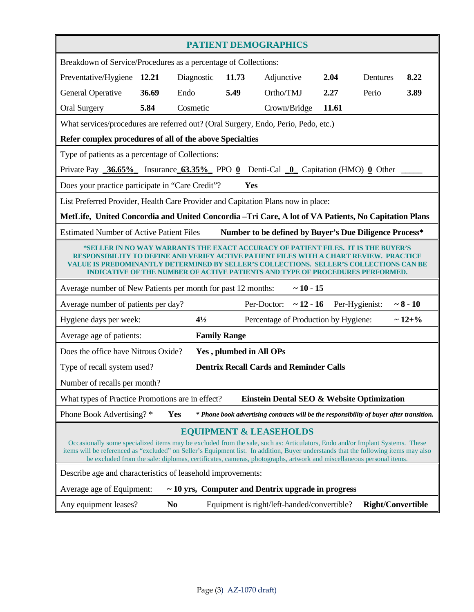| <b>PATIENT DEMOGRAPHICS</b>                                                                                                                                                                                                                                                                                                                                                                                                    |                                                          |                |                         |                                                                                          |       |                          |                |
|--------------------------------------------------------------------------------------------------------------------------------------------------------------------------------------------------------------------------------------------------------------------------------------------------------------------------------------------------------------------------------------------------------------------------------|----------------------------------------------------------|----------------|-------------------------|------------------------------------------------------------------------------------------|-------|--------------------------|----------------|
| Breakdown of Service/Procedures as a percentage of Collections:                                                                                                                                                                                                                                                                                                                                                                |                                                          |                |                         |                                                                                          |       |                          |                |
| Preventative/Hygiene 12.21                                                                                                                                                                                                                                                                                                                                                                                                     |                                                          | Diagnostic     | 11.73                   | Adjunctive                                                                               | 2.04  | Dentures                 | 8.22           |
| <b>General Operative</b>                                                                                                                                                                                                                                                                                                                                                                                                       | 36.69                                                    | Endo           | 5.49                    | Ortho/TMJ                                                                                | 2.27  | Perio                    | 3.89           |
| <b>Oral Surgery</b>                                                                                                                                                                                                                                                                                                                                                                                                            | 5.84                                                     | Cosmetic       |                         | Crown/Bridge                                                                             | 11.61 |                          |                |
| What services/procedures are referred out? (Oral Surgery, Endo, Perio, Pedo, etc.)                                                                                                                                                                                                                                                                                                                                             |                                                          |                |                         |                                                                                          |       |                          |                |
|                                                                                                                                                                                                                                                                                                                                                                                                                                | Refer complex procedures of all of the above Specialties |                |                         |                                                                                          |       |                          |                |
| Type of patients as a percentage of Collections:                                                                                                                                                                                                                                                                                                                                                                               |                                                          |                |                         |                                                                                          |       |                          |                |
| Private Pay $\underline{\hspace{1em}36.65\%}$ Insurance $\underline{\hspace{1em}63.35\%}$ PPO 0 Denti-Cal 0 Capitation (HMO) 0 Other                                                                                                                                                                                                                                                                                           |                                                          |                |                         |                                                                                          |       |                          |                |
| Does your practice participate in "Care Credit"?                                                                                                                                                                                                                                                                                                                                                                               |                                                          |                | Yes                     |                                                                                          |       |                          |                |
| List Preferred Provider, Health Care Provider and Capitation Plans now in place:                                                                                                                                                                                                                                                                                                                                               |                                                          |                |                         |                                                                                          |       |                          |                |
| MetLife, United Concordia and United Concordia - Tri Care, A lot of VA Patients, No Capitation Plans                                                                                                                                                                                                                                                                                                                           |                                                          |                |                         |                                                                                          |       |                          |                |
| <b>Estimated Number of Active Patient Files</b>                                                                                                                                                                                                                                                                                                                                                                                |                                                          |                |                         | Number to be defined by Buyer's Due Diligence Process*                                   |       |                          |                |
| *SELLER IN NO WAY WARRANTS THE EXACT ACCURACY OF PATIENT FILES. IT IS THE BUYER'S<br>RESPONSIBILITY TO DEFINE AND VERIFY ACTIVE PATIENT<br>VALUE IS PREDOMINANTLY DETERMINED BY SELLER'S COLLECTIONS.<br><b>SELLER'S COLL</b><br><b>ECTIONS CAN BE</b><br><b>INDICATIVE OF THE NUMBER OF ACTIVE PATIENTS AND TYPE OF PROCEDURES PERFORMED.</b>                                                                                 |                                                          |                |                         |                                                                                          |       |                          |                |
| Average number of New Patients per month for past 12 months:<br>$~10 - 15$                                                                                                                                                                                                                                                                                                                                                     |                                                          |                |                         |                                                                                          |       |                          |                |
| Per-Doctor: $\sim$ 12 - 16<br>Per-Hygienist:<br>~10<br>Average number of patients per day?                                                                                                                                                                                                                                                                                                                                     |                                                          |                |                         |                                                                                          |       |                          |                |
| Hygiene days per week:                                                                                                                                                                                                                                                                                                                                                                                                         |                                                          | $4\frac{1}{2}$ |                         | Percentage of Production by Hygiene:                                                     |       |                          | $\sim 12 + \%$ |
| Average age of patients:<br><b>Family Range</b>                                                                                                                                                                                                                                                                                                                                                                                |                                                          |                |                         |                                                                                          |       |                          |                |
| Does the office have Nitrous Oxide?                                                                                                                                                                                                                                                                                                                                                                                            |                                                          |                | Yes, plumbed in All OPs |                                                                                          |       |                          |                |
| Type of recall system used?                                                                                                                                                                                                                                                                                                                                                                                                    |                                                          |                |                         | <b>Dentrix Recall Cards and Reminder Calls</b>                                           |       |                          |                |
| Number of recalls per month?                                                                                                                                                                                                                                                                                                                                                                                                   |                                                          |                |                         |                                                                                          |       |                          |                |
| Einstein Dental SEO & Website Optimization<br>What types of Practice Promotions are in effect?                                                                                                                                                                                                                                                                                                                                 |                                                          |                |                         |                                                                                          |       |                          |                |
| Phone Book Advertising?*                                                                                                                                                                                                                                                                                                                                                                                                       |                                                          | <b>Yes</b>     |                         | * Phone book advertising contracts will be the responsibility of buyer after transition. |       |                          |                |
| <b>EQUIPMENT &amp; LEASEHOLDS</b><br>Occasionally some specialized items may be excluded from the sale, such as: Articulators, Endo and/or Implant Systems. These<br>items will be referenced as "excluded" on Seller's Equipment list. In addition, Buyer understands that the following items may also<br>be excluded from the sale: diplomas, certificates, cameras, photographs, artwork and miscellaneous personal items. |                                                          |                |                         |                                                                                          |       |                          |                |
| Describe age and characteristics of leasehold improvements:                                                                                                                                                                                                                                                                                                                                                                    |                                                          |                |                         |                                                                                          |       |                          |                |
| Average age of Equipment:<br>$\sim$ 10 yrs, Computer and Dentrix upgrade in progress                                                                                                                                                                                                                                                                                                                                           |                                                          |                |                         |                                                                                          |       |                          |                |
| Any equipment leases?                                                                                                                                                                                                                                                                                                                                                                                                          |                                                          | N <sub>0</sub> |                         | Equipment is right/left-handed/convertible?                                              |       | <b>Right/Convertible</b> |                |